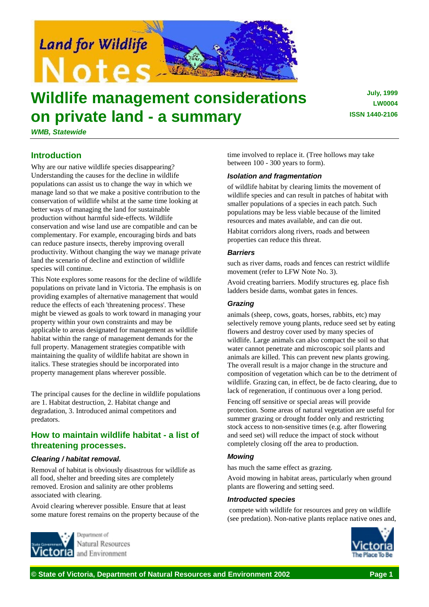

# **Wildlife management considerations on private land - a summary**

*WMB, Statewide*

## **Introduction**

Why are our native wildlife species disappearing? Understanding the causes for the decline in wildlife populations can assist us to change the way in which we manage land so that we make a positive contribution to the conservation of wildlife whilst at the same time looking at better ways of managing the land for sustainable production without harmful side-effects. Wildlife conservation and wise land use are compatible and can be complementary. For example, encouraging birds and bats can reduce pasture insects, thereby improving overall productivity. Without changing the way we manage private land the scenario of decline and extinction of wildlife species will continue.

This Note explores some reasons for the decline of wildlife populations on private land in Victoria. The emphasis is on providing examples of alternative management that would reduce the effects of each 'threatening process'. These might be viewed as goals to work toward in managing your property within your own constraints and may be applicable to areas designated for management as wildlife habitat within the range of management demands for the full property. Management strategies compatible with maintaining the quality of wildlife habitat are shown in italics. These strategies should be incorporated into property management plans wherever possible.

The principal causes for the decline in wildlife populations are 1. Habitat destruction, 2. Habitat change and degradation, 3. Introduced animal competitors and predators.

# **How to maintain wildlife habitat - a list of threatening processes.**

## *Clearing / habitat removal.*

Removal of habitat is obviously disastrous for wildlife as all food, shelter and breeding sites are completely removed. Erosion and salinity are other problems associated with clearing.

Avoid clearing wherever possible. Ensure that at least some mature forest remains on the property because of the



Natural Resources and Environment

time involved to replace it. (Tree hollows may take between 100 - 300 years to form).

## *Isolation and fragmentation*

of wildlife habitat by clearing limits the movement of wildlife species and can result in patches of habitat with smaller populations of a species in each patch. Such populations may be less viable because of the limited resources and mates available, and can die out.

Habitat corridors along rivers, roads and between properties can reduce this threat.

## *Barriers*

such as river dams, roads and fences can restrict wildlife movement (refer to LFW Note No. 3).

Avoid creating barriers. Modify structures eg. place fish ladders beside dams, wombat gates in fences.

## *Grazing*

animals (sheep, cows, goats, horses, rabbits, etc) may selectively remove young plants, reduce seed set by eating flowers and destroy cover used by many species of wildlife. Large animals can also compact the soil so that water cannot penetrate and microscopic soil plants and animals are killed. This can prevent new plants growing. The overall result is a major change in the structure and composition of vegetation which can be to the detriment of wildlife. Grazing can, in effect, be de facto clearing, due to lack of regeneration, if continuous over a long period.

Fencing off sensitive or special areas will provide protection. Some areas of natural vegetation are useful for summer grazing or drought fodder only and restricting stock access to non-sensitive times (e.g. after flowering and seed set) will reduce the impact of stock without completely closing off the area to production.

## *Mowing*

has much the same effect as grazing.

Avoid mowing in habitat areas, particularly when ground plants are flowering and setting seed.

## *Introducted species*

 compete with wildlife for resources and prey on wildlife (see predation). Non-native plants replace native ones and,



**July, 1999 LW0004 ISSN 1440-2106**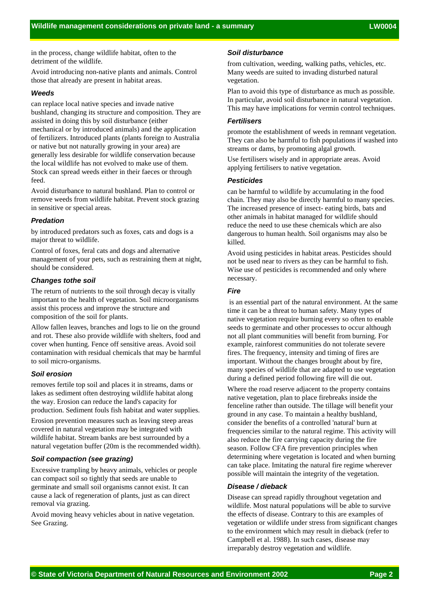in the process, change wildlife habitat, often to the detriment of the wildlife.

Avoid introducing non-native plants and animals. Control those that already are present in habitat areas.

#### *Weeds*

can replace local native species and invade native bushland, changing its structure and composition. They are assisted in doing this by soil disturbance (either mechanical or by introduced animals) and the application of fertilizers. Introduced plants (plants foreign to Australia or native but not naturally growing in your area) are generally less desirable for wildlife conservation because the local wildlife has not evolved to make use of them. Stock can spread weeds either in their faeces or through feed.

Avoid disturbance to natural bushland. Plan to control or remove weeds from wildlife habitat. Prevent stock grazing in sensitive or special areas.

#### *Predation*

by introduced predators such as foxes, cats and dogs is a major threat to wildlife.

Control of foxes, feral cats and dogs and alternative management of your pets, such as restraining them at night, should be considered.

#### *Changes tothe soil*

The return of nutrients to the soil through decay is vitally important to the health of vegetation. Soil microorganisms assist this process and improve the structure and composition of the soil for plants.

Allow fallen leaves, branches and logs to lie on the ground and rot. These also provide wildlife with shelters, food and cover when hunting. Fence off sensitive areas. Avoid soil contamination with residual chemicals that may be harmful to soil micro-organisms.

## *Soil erosion*

removes fertile top soil and places it in streams, dams or lakes as sediment often destroying wildlife habitat along the way. Erosion can reduce the land's capacity for production. Sediment fouls fish habitat and water supplies.

Erosion prevention measures such as leaving steep areas covered in natural vegetation may be integrated with wildlife habitat. Stream banks are best surrounded by a natural vegetation buffer (20m is the recommended width).

#### *Soil compaction (see grazing)*

Excessive trampling by heavy animals, vehicles or people can compact soil so tightly that seeds are unable to germinate and small soil organisms cannot exist. It can cause a lack of regeneration of plants, just as can direct removal via grazing.

Avoid moving heavy vehicles about in native vegetation. See Grazing.

## *Soil disturbance*

from cultivation, weeding, walking paths, vehicles, etc. Many weeds are suited to invading disturbed natural vegetation.

Plan to avoid this type of disturbance as much as possible. In particular, avoid soil disturbance in natural vegetation. This may have implications for vermin control techniques.

## *Fertilisers*

promote the establishment of weeds in remnant vegetation. They can also be harmful to fish populations if washed into streams or dams, by promoting algal growth.

Use fertilisers wisely and in appropriate areas. Avoid applying fertilisers to native vegetation.

#### *Pesticides*

can be harmful to wildlife by accumulating in the food chain. They may also be directly harmful to many species. The increased presence of insect- eating birds, bats and other animals in habitat managed for wildlife should reduce the need to use these chemicals which are also dangerous to human health. Soil organisms may also be killed.

Avoid using pesticides in habitat areas. Pesticides should not be used near to rivers as they can be harmful to fish. Wise use of pesticides is recommended and only where necessary.

## *Fire*

 is an essential part of the natural environment. At the same time it can be a threat to human safety. Many types of native vegetation require burning every so often to enable seeds to germinate and other processes to occur although not all plant communities will benefit from burning. For example, rainforest communities do not tolerate severe fires. The frequency, intensity and timing of fires are important. Without the changes brought about by fire, many species of wildlife that are adapted to use vegetation during a defined period following fire will die out.

Where the road reserve adjacent to the property contains native vegetation, plan to place firebreaks inside the fenceline rather than outside. The tillage will benefit your ground in any case. To maintain a healthy bushland, consider the benefits of a controlled 'natural' burn at frequencies similar to the natural regime. This activity will also reduce the fire carrying capacity during the fire season. Follow CFA fire prevention principles when determining where vegetation is located and when burning can take place. Imitating the natural fire regime wherever possible will maintain the integrity of the vegetation.

#### *Disease / dieback*

Disease can spread rapidly throughout vegetation and wildlife. Most natural populations will be able to survive the effects of disease. Contrary to this are examples of vegetation or wildlife under stress from significant changes to the environment which may result in dieback (refer to Campbell et al. 1988). In such cases, disease may irreparably destroy vegetation and wildlife.